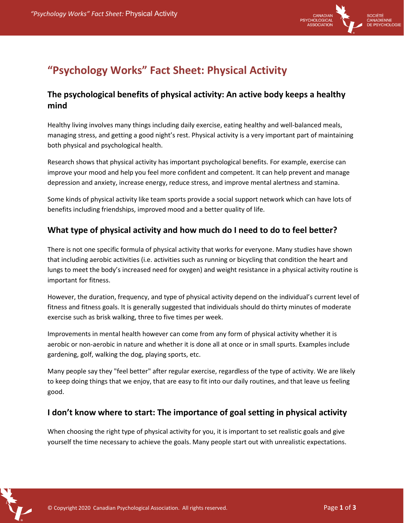

# **"Psychology Works" Fact Sheet: Physical Activity**

### **The psychological benefits of physical activity: An active body keeps a healthy mind**

Healthy living involves many things including daily exercise, eating healthy and well-balanced meals, managing stress, and getting a good night's rest. Physical activity is a very important part of maintaining both physical and psychological health.

Research shows that physical activity has important psychological benefits. For example, exercise can improve your mood and help you feel more confident and competent. It can help prevent and manage depression and anxiety, increase energy, reduce stress, and improve mental alertness and stamina.

Some kinds of physical activity like team sports provide a social support network which can have lots of benefits including friendships, improved mood and a better quality of life.

## **What type of physical activity and how much do I need to do to feel better?**

There is not one specific formula of physical activity that works for everyone. Many studies have shown that including aerobic activities (i.e. activities such as running or bicycling that condition the heart and lungs to meet the body's increased need for oxygen) and weight resistance in a physical activity routine is important for fitness.

However, the duration, frequency, and type of physical activity depend on the individual's current level of fitness and fitness goals. It is generally suggested that individuals should do thirty minutes of moderate exercise such as brisk walking, three to five times per week.

Improvements in mental health however can come from any form of physical activity whether it is aerobic or non-aerobic in nature and whether it is done all at once or in small spurts. Examples include gardening, golf, walking the dog, playing sports, etc.

Many people say they "feel better" after regular exercise, regardless of the type of activity. We are likely to keep doing things that we enjoy, that are easy to fit into our daily routines, and that leave us feeling good.

### **I don't know where to start: The importance of goal setting in physical activity**

When choosing the right type of physical activity for you, it is important to set realistic goals and give yourself the time necessary to achieve the goals. Many people start out with unrealistic expectations.

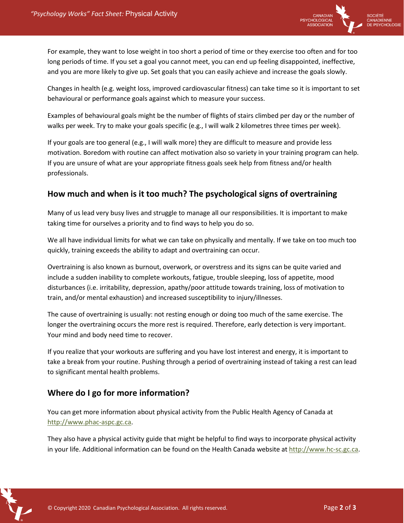

For example, they want to lose weight in too short a period of time or they exercise too often and for too long periods of time. If you set a goal you cannot meet, you can end up feeling disappointed, ineffective, and you are more likely to give up. Set goals that you can easily achieve and increase the goals slowly.

Changes in health (e.g. weight loss, improved cardiovascular fitness) can take time so it is important to set behavioural or performance goals against which to measure your success.

Examples of behavioural goals might be the number of flights of stairs climbed per day or the number of walks per week. Try to make your goals specific (e.g., I will walk 2 kilometres three times per week).

If your goals are too general (e.g., I will walk more) they are difficult to measure and provide less motivation. Boredom with routine can affect motivation also so variety in your training program can help. If you are unsure of what are your appropriate fitness goals seek help from fitness and/or health professionals.

#### **How much and when is it too much? The psychological signs of overtraining**

Many of us lead very busy lives and struggle to manage all our responsibilities. It is important to make taking time for ourselves a priority and to find ways to help you do so.

We all have individual limits for what we can take on physically and mentally. If we take on too much too quickly, training exceeds the ability to adapt and overtraining can occur.

Overtraining is also known as burnout, overwork, or overstress and its signs can be quite varied and include a sudden inability to complete workouts, fatigue, trouble sleeping, loss of appetite, mood disturbances (i.e. irritability, depression, apathy/poor attitude towards training, loss of motivation to train, and/or mental exhaustion) and increased susceptibility to injury/illnesses.

The cause of overtraining is usually: not resting enough or doing too much of the same exercise. The longer the overtraining occurs the more rest is required. Therefore, early detection is very important. Your mind and body need time to recover.

If you realize that your workouts are suffering and you have lost interest and energy, it is important to take a break from your routine. Pushing through a period of overtraining instead of taking a rest can lead to significant mental health problems.

### **Where do I go for more information?**

You can get more information about physical activity from the Public Health Agency of Canada at http://www.phac-aspc.gc.ca.

They also have a physical activity guide that might be helpful to find ways to incorporate physical activity in your life. Additional information can be found on the Health Canada website at http://www.hc-sc.gc.ca.